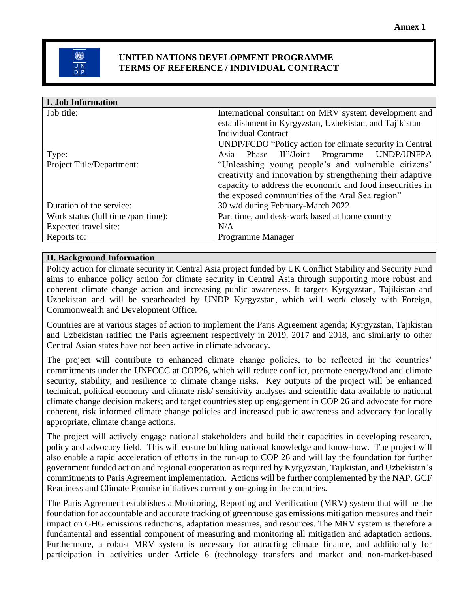### **UNITED NATIONS DEVELOPMENT PROGRAMME TERMS OF REFERENCE / INDIVIDUAL CONTRACT**

| I. Job Information                  |                                                           |
|-------------------------------------|-----------------------------------------------------------|
| Job title:                          | International consultant on MRV system development and    |
|                                     | establishment in Kyrgyzstan, Uzbekistan, and Tajikistan   |
|                                     | <b>Individual Contract</b>                                |
|                                     | UNDP/FCDO "Policy action for climate security in Central  |
| Type:                               | Asia Phase II"/Joint Programme UNDP/UNFPA                 |
| Project Title/Department:           | "Unleashing young people's and vulnerable citizens'       |
|                                     | creativity and innovation by strengthening their adaptive |
|                                     | capacity to address the economic and food insecurities in |
|                                     | the exposed communities of the Aral Sea region"           |
| Duration of the service:            | 30 w/d during February-March 2022                         |
| Work status (full time /part time): | Part time, and desk-work based at home country            |
| Expected travel site:               | N/A                                                       |
| Reports to:                         | Programme Manager                                         |

## **II. Background Information**

Policy action for climate security in Central Asia project funded by UK Conflict Stability and Security Fund aims to enhance policy action for climate security in Central Asia through supporting more robust and coherent climate change action and increasing public awareness. It targets Kyrgyzstan, Tajikistan and Uzbekistan and will be spearheaded by UNDP Kyrgyzstan, which will work closely with Foreign, Commonwealth and Development Office.

Countries are at various stages of action to implement the Paris Agreement agenda; Kyrgyzstan, Tajikistan and Uzbekistan ratified the Paris agreement respectively in 2019, 2017 and 2018, and similarly to other Central Asian states have not been active in climate advocacy.

The project will contribute to enhanced climate change policies, to be reflected in the countries' commitments under the UNFCCC at COP26, which will reduce conflict, promote energy/food and climate security, stability, and resilience to climate change risks. Key outputs of the project will be enhanced technical, political economy and climate risk/ sensitivity analyses and scientific data available to national climate change decision makers; and target countries step up engagement in COP 26 and advocate for more coherent, risk informed climate change policies and increased public awareness and advocacy for locally appropriate, climate change actions.

The project will actively engage national stakeholders and build their capacities in developing research, policy and advocacy field. This will ensure building national knowledge and know-how. The project will also enable a rapid acceleration of efforts in the run-up to COP 26 and will lay the foundation for further government funded action and regional cooperation as required by Kyrgyzstan, Tajikistan, and Uzbekistan's commitments to Paris Agreement implementation. Actions will be further complemented by the NAP, GCF Readiness and Climate Promise initiatives currently on-going in the countries.

The Paris Agreement establishes a Monitoring, Reporting and Verification (MRV) system that will be the foundation for accountable and accurate tracking of greenhouse gas emissions mitigation measures and their impact on GHG emissions reductions, adaptation measures, and resources. The MRV system is therefore a fundamental and essential component of measuring and monitoring all mitigation and adaptation actions. Furthermore, a robust MRV system is necessary for attracting climate finance, and additionally for participation in activities under Article 6 (technology transfers and market and non-market-based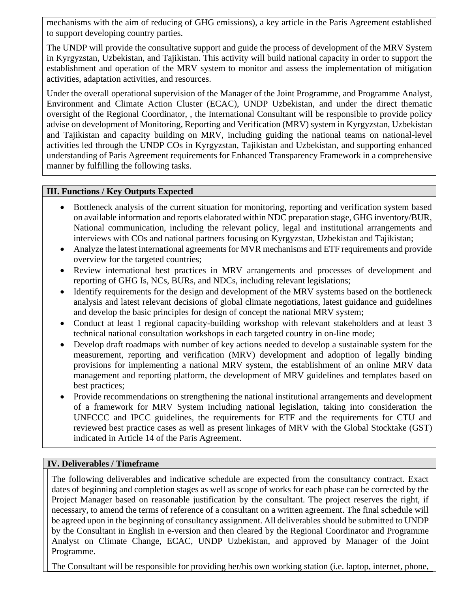mechanisms with the aim of reducing of GHG emissions), a key article in the Paris Agreement established to support developing country parties.

The UNDP will provide the consultative support and guide the process of development of the MRV System in Kyrgyzstan, Uzbekistan, and Tajikistan. This activity will build national capacity in order to support the establishment and operation of the MRV system to monitor and assess the implementation of mitigation activities, adaptation activities, and resources.

Under the overall operational supervision of the Manager of the Joint Programme, and Programme Analyst, Environment and Climate Action Cluster (ECAC), UNDP Uzbekistan, and under the direct thematic oversight of the Regional Coordinator, , the International Consultant will be responsible to provide policy advise on development of Monitoring, Reporting and Verification (MRV) system in Kyrgyzstan, Uzbekistan and Tajikistan and capacity building on MRV, including guiding the national teams on national-level activities led through the UNDP COs in Kyrgyzstan, Tajikistan and Uzbekistan, and supporting enhanced understanding of Paris Agreement requirements for Enhanced Transparency Framework in a comprehensive manner by fulfilling the following tasks.

### **III. Functions / Key Outputs Expected**

- Bottleneck analysis of the current situation for monitoring, reporting and verification system based on available information and reports elaborated within NDC preparation stage, GHG inventory/BUR, National communication, including the relevant policy, legal and institutional arrangements and interviews with COs and national partners focusing on Kyrgyzstan, Uzbekistan and Tajikistan;
- Analyze the latest international agreements for MVR mechanisms and ETF requirements and provide overview for the targeted countries;
- Review international best practices in MRV arrangements and processes of development and reporting of GHG Is, NCs, BURs, and NDCs, including relevant legislations;
- Identify requirements for the design and development of the MRV systems based on the bottleneck analysis and latest relevant decisions of global climate negotiations, latest guidance and guidelines and develop the basic principles for design of concept the national MRV system;
- Conduct at least 1 regional capacity-building workshop with relevant stakeholders and at least 3 technical national consultation workshops in each targeted country in on-line mode;
- Develop draft roadmaps with number of key actions needed to develop a sustainable system for the measurement, reporting and verification (MRV) development and adoption of legally binding provisions for implementing a national MRV system, the establishment of an online MRV data management and reporting platform, the development of MRV guidelines and templates based on best practices;
- Provide recommendations on strengthening the national institutional arrangements and development of a framework for MRV System including national legislation, taking into consideration the UNFCCC and IPCC guidelines, the requirements for ETF and the requirements for CTU and reviewed best practice cases as well as present linkages of MRV with the Global Stocktake (GST) indicated in Article 14 of the Paris Agreement.

#### **IV. Deliverables / Timeframe**

The following deliverables and indicative schedule are expected from the consultancy contract. Exact dates of beginning and completion stages as well as scope of works for each phase can be corrected by the Project Manager based on reasonable justification by the consultant. The project reserves the right, if necessary, to amend the terms of reference of a consultant on a written agreement. The final schedule will be agreed upon in the beginning of consultancy assignment. All deliverables should be submitted to UNDP by the Consultant in English in e-version and then cleared by the Regional Coordinator and Programme Analyst on Climate Change, ECAC, UNDP Uzbekistan, and approved by Manager of the Joint Programme.

The Consultant will be responsible for providing her/his own working station (i.e. laptop, internet, phone,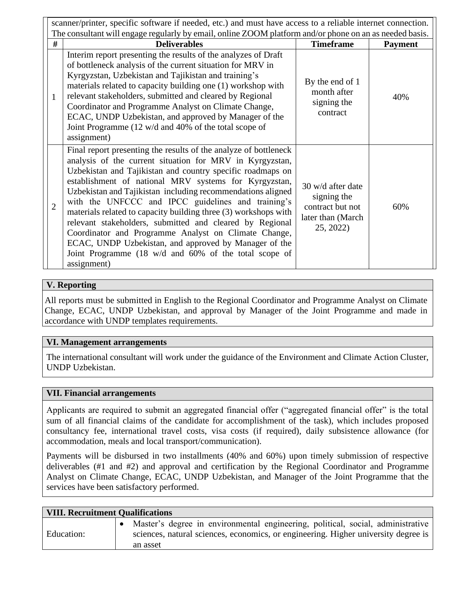|                | scanner/printer, specific software if needed, etc.) and must have access to a reliable internet connection.                                                                                                                                                                                                                                                                                                                                                                                                                                                                                                                                                                                      |                                                                                        |                |  |  |  |  |
|----------------|--------------------------------------------------------------------------------------------------------------------------------------------------------------------------------------------------------------------------------------------------------------------------------------------------------------------------------------------------------------------------------------------------------------------------------------------------------------------------------------------------------------------------------------------------------------------------------------------------------------------------------------------------------------------------------------------------|----------------------------------------------------------------------------------------|----------------|--|--|--|--|
|                | The consultant will engage regularly by email, online ZOOM platform and/or phone on an as needed basis.                                                                                                                                                                                                                                                                                                                                                                                                                                                                                                                                                                                          |                                                                                        |                |  |  |  |  |
| #              | <b>Deliverables</b>                                                                                                                                                                                                                                                                                                                                                                                                                                                                                                                                                                                                                                                                              | <b>Timeframe</b>                                                                       | <b>Payment</b> |  |  |  |  |
| $\mathbf{1}$   | Interim report presenting the results of the analyzes of Draft<br>of bottleneck analysis of the current situation for MRV in<br>Kyrgyzstan, Uzbekistan and Tajikistan and training's<br>materials related to capacity building one (1) workshop with<br>relevant stakeholders, submitted and cleared by Regional<br>Coordinator and Programme Analyst on Climate Change,<br>ECAC, UNDP Uzbekistan, and approved by Manager of the<br>Joint Programme (12 w/d and 40% of the total scope of<br>assignment)                                                                                                                                                                                        | By the end of 1<br>month after<br>signing the<br>contract                              | 40%            |  |  |  |  |
| $\overline{2}$ | Final report presenting the results of the analyze of bottleneck<br>analysis of the current situation for MRV in Kyrgyzstan,<br>Uzbekistan and Tajikistan and country specific roadmaps on<br>establishment of national MRV systems for Kyrgyzstan,<br>Uzbekistan and Tajikistan including recommendations aligned<br>with the UNFCCC and IPCC guidelines and training's<br>materials related to capacity building three (3) workshops with<br>relevant stakeholders, submitted and cleared by Regional<br>Coordinator and Programme Analyst on Climate Change,<br>ECAC, UNDP Uzbekistan, and approved by Manager of the<br>Joint Programme (18 w/d and 60% of the total scope of<br>assignment) | 30 w/d after date<br>signing the<br>contract but not<br>later than (March<br>25, 2022) | 60%            |  |  |  |  |

## **V. Reporting**

All reports must be submitted in English to the Regional Coordinator and Programme Analyst on Climate Change, ECAC, UNDP Uzbekistan, and approval by Manager of the Joint Programme and made in accordance with UNDP templates requirements.

## **VI. Management arrangements**

The international consultant will work under the guidance of the Environment and Climate Action Cluster, UNDP Uzbekistan.

#### **VII. Financial arrangements**

Applicants are required to submit an aggregated financial offer ("aggregated financial offer" is the total sum of all financial claims of the candidate for accomplishment of the task), which includes proposed consultancy fee, international travel costs, visa costs (if required), daily subsistence allowance (for accommodation, meals and local transport/communication).

Payments will be disbursed in two installments (40% and 60%) upon timely submission of respective deliverables (#1 and #2) and approval and certification by the Regional Coordinator and Programme Analyst on Climate Change, ECAC, UNDP Uzbekistan, and Manager of the Joint Programme that the services have been satisfactory performed.

| <b>VIII. Recruitment Qualifications</b> |  |                                                                                                                                                                                   |  |  |  |  |  |
|-----------------------------------------|--|-----------------------------------------------------------------------------------------------------------------------------------------------------------------------------------|--|--|--|--|--|
| Education:                              |  | Master's degree in environmental engineering, political, social, administrative<br>sciences, natural sciences, economics, or engineering. Higher university degree is<br>an asset |  |  |  |  |  |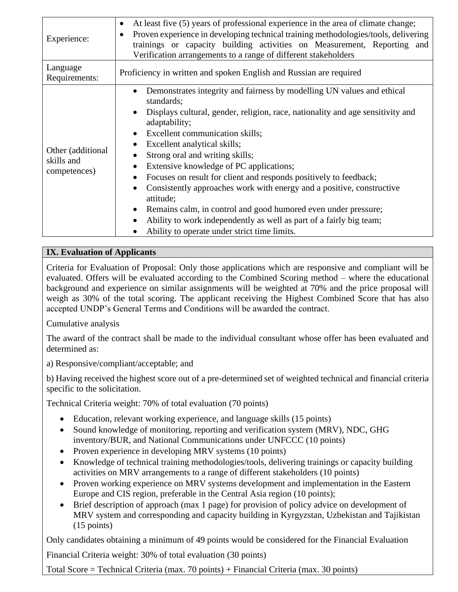| Experience:                                     | At least five (5) years of professional experience in the area of climate change;<br>$\bullet$<br>Proven experience in developing technical training methodologies/tools, delivering<br>trainings or capacity building activities on Measurement, Reporting and<br>Verification arrangements to a range of different stakeholders                                                                                                                                                                                                                                                                                                                                                                                                                             |  |  |
|-------------------------------------------------|---------------------------------------------------------------------------------------------------------------------------------------------------------------------------------------------------------------------------------------------------------------------------------------------------------------------------------------------------------------------------------------------------------------------------------------------------------------------------------------------------------------------------------------------------------------------------------------------------------------------------------------------------------------------------------------------------------------------------------------------------------------|--|--|
| Language<br>Requirements:                       | Proficiency in written and spoken English and Russian are required                                                                                                                                                                                                                                                                                                                                                                                                                                                                                                                                                                                                                                                                                            |  |  |
| Other (additional<br>skills and<br>competences) | Demonstrates integrity and fairness by modelling UN values and ethical<br>$\bullet$<br>standards;<br>Displays cultural, gender, religion, race, nationality and age sensitivity and<br>$\bullet$<br>adaptability;<br>Excellent communication skills;<br>$\bullet$<br>Excellent analytical skills;<br>Strong oral and writing skills;<br>Extensive knowledge of PC applications;<br>$\bullet$<br>Focuses on result for client and responds positively to feedback;<br>Consistently approaches work with energy and a positive, constructive<br>attitude;<br>Remains calm, in control and good humored even under pressure;<br>Ability to work independently as well as part of a fairly big team;<br>$\bullet$<br>Ability to operate under strict time limits. |  |  |

# **IX. Evaluation of Applicants**

Criteria for Evaluation of Proposal: Only those applications which are responsive and compliant will be evaluated. Offers will be evaluated according to the Combined Scoring method – where the educational background and experience on similar assignments will be weighted at 70% and the price proposal will weigh as 30% of the total scoring. The applicant receiving the Highest Combined Score that has also accepted UNDP's General Terms and Conditions will be awarded the contract.

Cumulative analysis

The award of the contract shall be made to the individual consultant whose offer has been evaluated and determined as:

a) Responsive/compliant/acceptable; and

b) Having received the highest score out of a pre-determined set of weighted technical and financial criteria specific to the solicitation.

Technical Criteria weight: 70% of total evaluation (70 points)

- Education, relevant working experience, and language skills (15 points)
- Sound knowledge of monitoring, reporting and verification system (MRV), NDC, GHG inventory/BUR, and National Communications under UNFCCC (10 points)
- Proven experience in developing MRV systems (10 points)
- Knowledge of technical training methodologies/tools, delivering trainings or capacity building activities on MRV arrangements to a range of different stakeholders (10 points)
- Proven working experience on MRV systems development and implementation in the Eastern Europe and CIS region, preferable in the Central Asia region (10 points);
- Brief description of approach (max 1 page) for provision of policy advice on development of MRV system and corresponding and capacity building in Kyrgyzstan, Uzbekistan and Tajikistan (15 points)

Only candidates obtaining a minimum of 49 points would be considered for the Financial Evaluation Financial Criteria weight: 30% of total evaluation (30 points)

Total Score = Technical Criteria (max. 70 points) + Financial Criteria (max. 30 points)